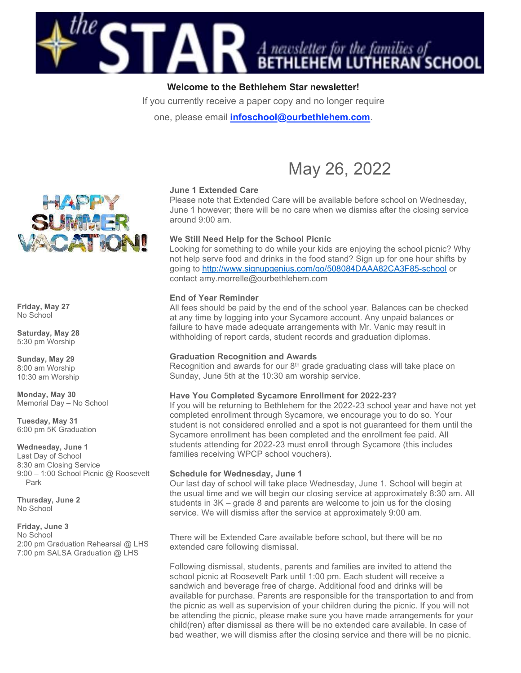

# Welcome to the Bethlehem Star newsletter!

If you currently receive a paper copy and no longer require

one, please email *infoschool@ourbethlehem.com.* 



# June 1 Extended Care

Please note that Extended Care will be available before school on Wednesday, June 1 however; there will be no care when we dismiss after the closing service around 9:00 am.

# We Still Need Help for the School Picnic

Looking for something to do while your kids are enjoying the school picnic? Why not help serve food and drinks in the food stand? Sign up for one hour shifts by going to http://www.signupgenius.com/go/508084DAAA82CA3F85-school or contact amy.morrelle@ourbethlehem.com

#### End of Year Reminder

All fees should be paid by the end of the school year. Balances can be checked at any time by logging into your Sycamore account. Any unpaid balances or failure to have made adequate arrangements with Mr. Vanic may result in withholding of report cards, student records and graduation diplomas.

#### Graduation Recognition and Awards

Recognition and awards for our  $8<sup>th</sup>$  grade graduating class will take place on Sunday, June 5th at the 10:30 am worship service.

# Have You Completed Sycamore Enrollment for 2022-23?

If you will be returning to Bethlehem for the 2022-23 school year and have not yet completed enrollment through Sycamore, we encourage you to do so. Your student is not considered enrolled and a spot is not guaranteed for them until the Sycamore enrollment has been completed and the enrollment fee paid. All students attending for 2022-23 must enroll through Sycamore (this includes families receiving WPCP school vouchers).

#### Schedule for Wednesday, June 1

Our last day of school will take place Wednesday, June 1. School will begin at the usual time and we will begin our closing service at approximately 8:30 am. All students in 3K – grade 8 and parents are welcome to join us for the closing service. We will dismiss after the service at approximately 9:00 am.

There will be Extended Care available before school, but there will be no extended care following dismissal.

Following dismissal, students, parents and families are invited to attend the school picnic at Roosevelt Park until 1:00 pm. Each student will receive a sandwich and beverage free of charge. Additional food and drinks will be available for purchase. Parents are responsible for the transportation to and from the picnic as well as supervision of your children during the picnic. If you will not be attending the picnic, please make sure you have made arrangements for your child(ren) after dismissal as there will be no extended care available. In case of bad weather, we will dismiss after the closing service and there will be no picnic.



Friday, May 27 No School

Saturday, May 28 5:30 pm Worship

Sunday, May 29 8:00 am Worship 10:30 am Worship

Monday, May 30 Memorial Day – No School

Tuesday, May 31 6:00 pm 5K Graduation

Wednesday, June 1 Last Day of School 8:30 am Closing Service 9:00 – 1:00 School Picnic @ Roosevelt Park

Thursday, June 2 No School

# Friday, June 3

No School 2:00 pm Graduation Rehearsal @ LHS 7:00 pm SALSA Graduation @ LHS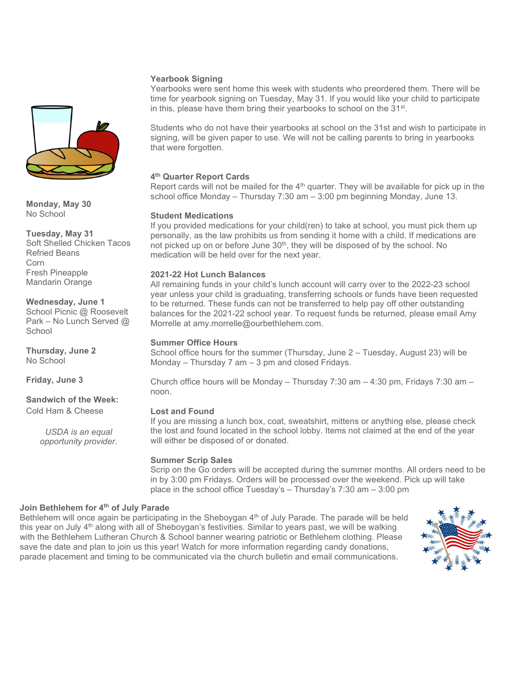### Yearbook Signing

Yearbooks were sent home this week with students who preordered them. There will be time for yearbook signing on Tuesday, May 31. If you would like your child to participate in this, please have them bring their yearbooks to school on the 31<sup>st</sup>.

Students who do not have their yearbooks at school on the 31st and wish to participate in signing, will be given paper to use. We will not be calling parents to bring in yearbooks that were forgotten.

# 4<sup>th</sup> Quarter Report Cards

Report cards will not be mailed for the  $4<sup>th</sup>$  quarter. They will be available for pick up in the school office Monday – Thursday 7:30 am – 3:00 pm beginning Monday, June 13.

#### Student Medications

If you provided medications for your child(ren) to take at school, you must pick them up personally, as the law prohibits us from sending it home with a child. If medications are not picked up on or before June 30<sup>th</sup>, they will be disposed of by the school. No medication will be held over for the next year.

#### 2021-22 Hot Lunch Balances

All remaining funds in your child's lunch account will carry over to the 2022-23 school year unless your child is graduating, transferring schools or funds have been requested to be returned. These funds can not be transferred to help pay off other outstanding balances for the 2021-22 school year. To request funds be returned, please email Amy Morrelle at amy.morrelle@ourbethlehem.com.

#### Summer Office Hours

School office hours for the summer (Thursday, June 2 – Tuesday, August 23) will be Monday – Thursday 7 am – 3 pm and closed Fridays.

Church office hours will be Monday – Thursday 7:30 am –  $4:30$  pm, Fridays 7:30 am – noon.

#### Lost and Found

If you are missing a lunch box, coat, sweatshirt, mittens or anything else, please check the lost and found located in the school lobby. Items not claimed at the end of the year will either be disposed of or donated.

#### Summer Scrip Sales

Scrip on the Go orders will be accepted during the summer months. All orders need to be in by 3:00 pm Fridays. Orders will be processed over the weekend. Pick up will take place in the school office Tuesday's – Thursday's 7:30 am – 3:00 pm

#### Join Bethlehem for 4<sup>th</sup> of July Parade

Bethlehem will once again be participating in the Sheboygan  $4<sup>th</sup>$  of July Parade. The parade will be held this year on July 4<sup>th</sup> along with all of Sheboygan's festivities. Similar to years past, we will be walking with the Bethlehem Lutheran Church & School banner wearing patriotic or Bethlehem clothing. Please save the date and plan to join us this year! Watch for more information regarding candy donations, parade placement and timing to be communicated via the church bulletin and email communications.





Monday, May 30 No School

Tuesday, May 31 Soft Shelled Chicken Tacos Refried Beans Corn Fresh Pineapple Mandarin Orange

Wednesday, June 1 School Picnic @ Roosevelt Park – No Lunch Served @ **School** 

Thursday, June 2 No School

Friday, June 3

#### Sandwich of the Week: Cold Ham & Cheese

USDA is an equal opportunity provider.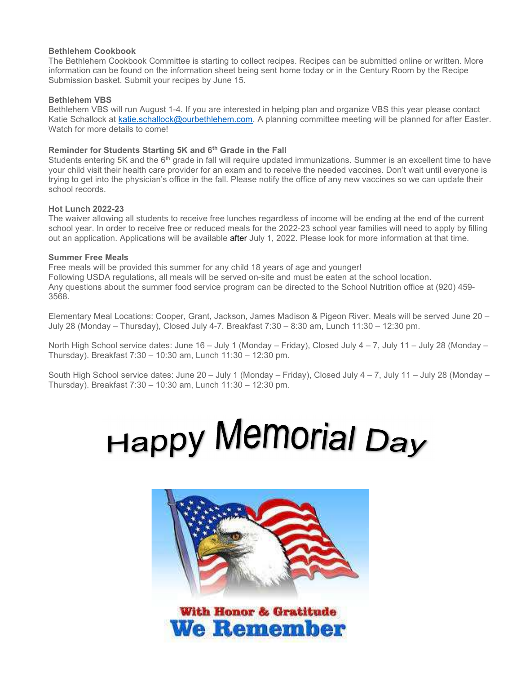### Bethlehem Cookbook

The Bethlehem Cookbook Committee is starting to collect recipes. Recipes can be submitted online or written. More information can be found on the information sheet being sent home today or in the Century Room by the Recipe Submission basket. Submit your recipes by June 15.

# Bethlehem VBS

Bethlehem VBS will run August 1-4. If you are interested in helping plan and organize VBS this year please contact Katie Schallock at katie.schallock@ourbethlehem.com. A planning committee meeting will be planned for after Easter. Watch for more details to come!

# Reminder for Students Starting 5K and 6<sup>th</sup> Grade in the Fall

Students entering 5K and the 6<sup>th</sup> grade in fall will require updated immunizations. Summer is an excellent time to have your child visit their health care provider for an exam and to receive the needed vaccines. Don't wait until everyone is trying to get into the physician's office in the fall. Please notify the office of any new vaccines so we can update their school records.

# Hot Lunch 2022-23

The waiver allowing all students to receive free lunches regardless of income will be ending at the end of the current school year. In order to receive free or reduced meals for the 2022-23 school year families will need to apply by filling out an application. Applications will be available after July 1, 2022. Please look for more information at that time.

#### Summer Free Meals

Free meals will be provided this summer for any child 18 years of age and younger! Following USDA regulations, all meals will be served on-site and must be eaten at the school location. Any questions about the summer food service program can be directed to the School Nutrition office at (920) 459- 3568.

Elementary Meal Locations: Cooper, Grant, Jackson, James Madison & Pigeon River. Meals will be served June 20 – July 28 (Monday – Thursday), Closed July 4-7. Breakfast 7:30 – 8:30 am, Lunch 11:30 – 12:30 pm.

North High School service dates: June 16 – July 1 (Monday – Friday), Closed July 4 – 7, July 11 – July 28 (Monday – Thursday). Breakfast 7:30 – 10:30 am, Lunch 11:30 – 12:30 pm.

South High School service dates: June 20 – July 1 (Monday – Friday), Closed July 4 – 7, July 11 – July 28 (Monday – Thursday). Breakfast 7:30 – 10:30 am, Lunch 11:30 – 12:30 pm.

# **Happy Memorial Day**